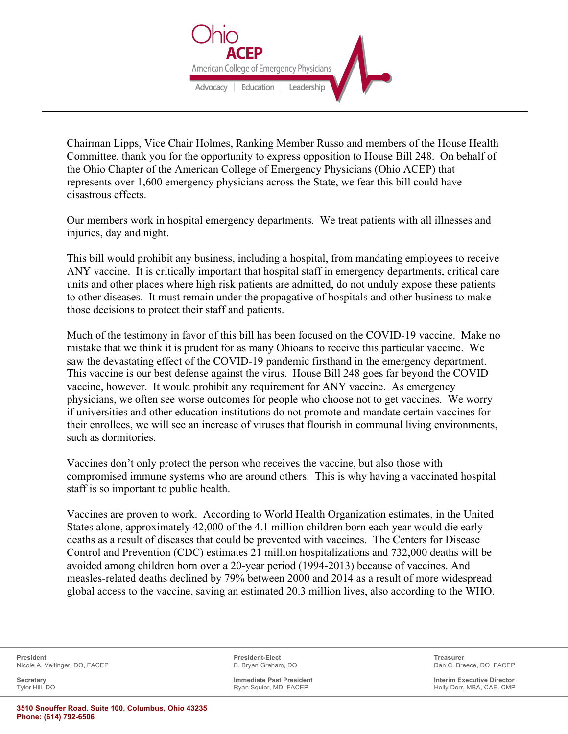

Chairman Lipps, Vice Chair Holmes, Ranking Member Russo and members of the House Health Committee, thank you for the opportunity to express opposition to House Bill 248. On behalf of the Ohio Chapter of the American College of Emergency Physicians (Ohio ACEP) that represents over 1,600 emergency physicians across the State, we fear this bill could have disastrous effects.

Our members work in hospital emergency departments. We treat patients with all illnesses and injuries, day and night.

This bill would prohibit any business, including a hospital, from mandating employees to receive ANY vaccine. It is critically important that hospital staff in emergency departments, critical care units and other places where high risk patients are admitted, do not unduly expose these patients to other diseases. It must remain under the propagative of hospitals and other business to make those decisions to protect their staff and patients.

Much of the testimony in favor of this bill has been focused on the COVID-19 vaccine. Make no mistake that we think it is prudent for as many Ohioans to receive this particular vaccine. We saw the devastating effect of the COVID-19 pandemic firsthand in the emergency department. This vaccine is our best defense against the virus. House Bill 248 goes far beyond the COVID vaccine, however. It would prohibit any requirement for ANY vaccine. As emergency physicians, we often see worse outcomes for people who choose not to get vaccines. We worry if universities and other education institutions do not promote and mandate certain vaccines for their enrollees, we will see an increase of viruses that flourish in communal living environments, such as dormitories.

Vaccines don't only protect the person who receives the vaccine, but also those with compromised immune systems who are around others. This is why having a vaccinated hospital staff is so important to public health.

Vaccines are proven to work. According to World Health Organization estimates, in the United States alone, approximately 42,000 of the 4.1 million children born each year would die early deaths as a result of diseases that could be prevented with vaccines. The Centers for Disease Control and Prevention (CDC) estimates 21 million hospitalizations and 732,000 deaths will be avoided among children born over a 20-year period (1994-2013) because of vaccines. And measles-related deaths declined by 79% between 2000 and 2014 as a result of more widespread global access to the vaccine, saving an estimated 20.3 million lives, also according to the WHO.

**President President-Elect Treasurer** Nicole A. Veitinger, DO, FACEP **B. B. B. B. Bryan Graham, DO** B. Bryan Graham, DO Dan C. Breece, DO, FACEP

**Secretary Immediate Past President Interim Executive Director**

Holly Dorr, MBA, CAE, CMP